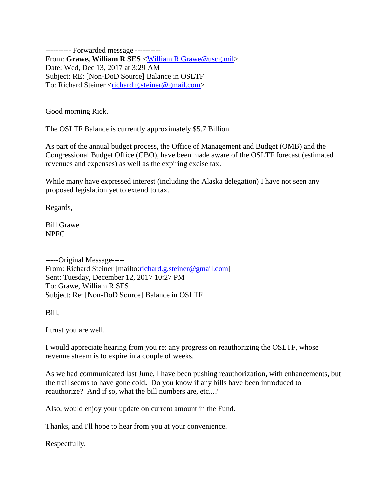---------- Forwarded message ---------- From: **Grawe, William R SES** [<William.R.Grawe@uscg.mil>](mailto:William.R.Grawe@uscg.mil) Date: Wed, Dec 13, 2017 at 3:29 AM Subject: RE: [Non-DoD Source] Balance in OSLTF To: Richard Steiner [<richard.g.steiner@gmail.com>](mailto:richard.g.steiner@gmail.com)

Good morning Rick.

The OSLTF Balance is currently approximately \$5.7 Billion.

As part of the annual budget process, the Office of Management and Budget (OMB) and the Congressional Budget Office (CBO), have been made aware of the OSLTF forecast (estimated revenues and expenses) as well as the expiring excise tax.

While many have expressed interest (including the Alaska delegation) I have not seen any proposed legislation yet to extend to tax.

Regards,

Bill Grawe NPFC

-----Original Message----- From: Richard Steiner [mailto[:richard.g.steiner@gmail.com\]](mailto:richard.g.steiner@gmail.com) Sent: Tuesday, December 12, 2017 10:27 PM To: Grawe, William R SES Subject: Re: [Non-DoD Source] Balance in OSLTF

Bill,

I trust you are well.

I would appreciate hearing from you re: any progress on reauthorizing the OSLTF, whose revenue stream is to expire in a couple of weeks.

As we had communicated last June, I have been pushing reauthorization, with enhancements, but the trail seems to have gone cold. Do you know if any bills have been introduced to reauthorize? And if so, what the bill numbers are, etc...?

Also, would enjoy your update on current amount in the Fund.

Thanks, and I'll hope to hear from you at your convenience.

Respectfully,